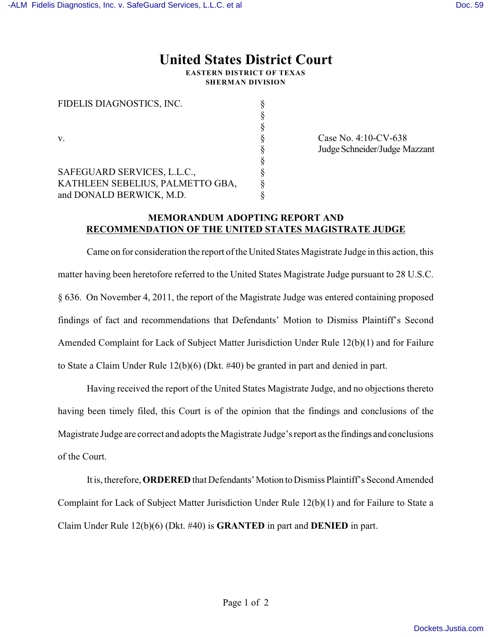## **United States District Court**

**EASTERN DISTRICT OF TEXAS SHERMAN DIVISION**

| FIDELIS DIAGNOSTICS, INC.        |  |
|----------------------------------|--|
|                                  |  |
|                                  |  |
| v                                |  |
|                                  |  |
|                                  |  |
| SAFEGUARD SERVICES, L.L.C.,      |  |
| KATHLEEN SEBELIUS, PALMETTO GBA, |  |
| and DONALD BERWICK, M.D.         |  |
|                                  |  |

 $Case No. 4:10-CV-638$ Judge Schneider/Judge Mazzant

## **MEMORANDUM ADOPTING REPORT AND RECOMMENDATION OF THE UNITED STATES MAGISTRATE JUDGE**

Came on for consideration the report of the United States Magistrate Judge in this action, this matter having been heretofore referred to the United States Magistrate Judge pursuant to 28 U.S.C. § 636. On November 4, 2011, the report of the Magistrate Judge was entered containing proposed findings of fact and recommendations that Defendants' Motion to Dismiss Plaintiff's Second Amended Complaint for Lack of Subject Matter Jurisdiction Under Rule 12(b)(1) and for Failure to State a Claim Under Rule 12(b)(6) (Dkt. #40) be granted in part and denied in part.

Having received the report of the United States Magistrate Judge, and no objections thereto having been timely filed, this Court is of the opinion that the findings and conclusions of the Magistrate Judge are correct and adopts the Magistrate Judge's report as the findings and conclusions of the Court.

It is, therefore, **ORDERED** that Defendants' Motion to Dismiss Plaintiff's Second Amended Complaint for Lack of Subject Matter Jurisdiction Under Rule 12(b)(1) and for Failure to State a Claim Under Rule 12(b)(6) (Dkt. #40) is **GRANTED** in part and **DENIED** in part.